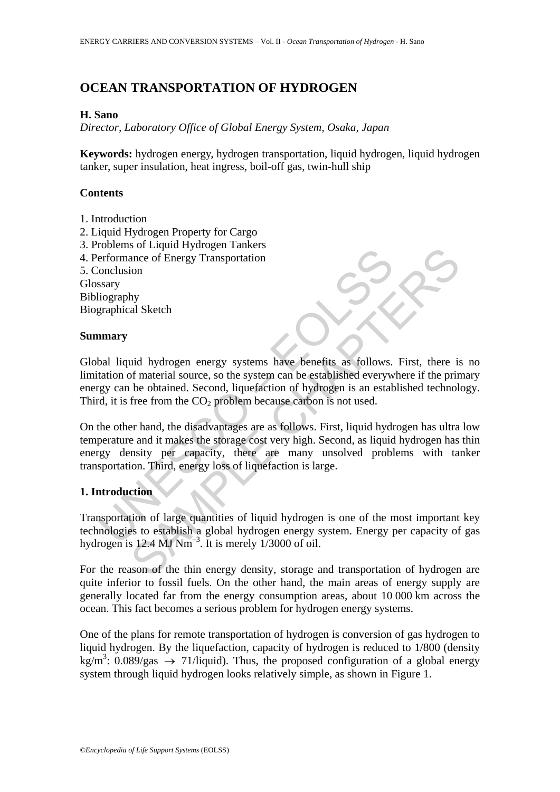# **OCEAN TRANSPORTATION OF HYDROGEN**

#### **H. Sano**

*Director, Laboratory Office of Global Energy System, Osaka, Japan* 

**Keywords:** hydrogen energy, hydrogen transportation, liquid hydrogen, liquid hydrogen tanker, super insulation, heat ingress, boil-off gas, twin-hull ship

## **Contents**

- 1. Introduction
- 2. Liquid Hydrogen Property for Cargo
- 3. Problems of Liquid Hydrogen Tankers
- 4. Performance of Energy Transportation
- 5. Conclusion

Glossary Bibliography Biographical Sketch

#### **Summary**

Global liquid hydrogen energy systems have benefits as follows. First, there is no limitation of material source, so the system can be established everywhere if the primary energy can be obtained. Second, liquefaction of hydrogen is an established technology. Third, it is free from the  $CO<sub>2</sub>$  problem because carbon is not used.

Formance of Energy Transportation<br>
increases the Energy Transportation<br>
Searly<br>
increases a<br>
increases a search of material source, so the system can be established everywe<br>
and liquid hydrogen energy systems have benefits So Enqual Hydrogen rankets<br>ance of Energy Transportation<br>ion<br>thy<br>al Sketch<br>difference of Energy Transportation<br>ion<br>thy<br>al Sketch<br>for material source, so the systems have benefits as follows. First, there is<br>be obtained. S On the other hand, the disadvantages are as follows. First, liquid hydrogen has ultra low temperature and it makes the storage cost very high. Second, as liquid hydrogen has thin energy density per capacity, there are many unsolved problems with tanker transportation. Third, energy loss of liquefaction is large.

## **1. Introduction**

Transportation of large quantities of liquid hydrogen is one of the most important key technologies to establish a global hydrogen energy system. Energy per capacity of gas hydrogen is 12.4 MJ  $Nm^{-3}$ . It is merely 1/3000 of oil.

For the reason of the thin energy density, storage and transportation of hydrogen are quite inferior to fossil fuels. On the other hand, the main areas of energy supply are generally located far from the energy consumption areas, about 10 000 km across the ocean. This fact becomes a serious problem for hydrogen energy systems.

One of the plans for remote transportation of hydrogen is conversion of gas hydrogen to liquid hydrogen. By the liquefaction, capacity of hydrogen is reduced to 1/800 (density kg/m<sup>3</sup>: 0.089/gas  $\rightarrow$  71/liquid). Thus, the proposed configuration of a global energy system through liquid hydrogen looks relatively simple, as shown in Figure 1.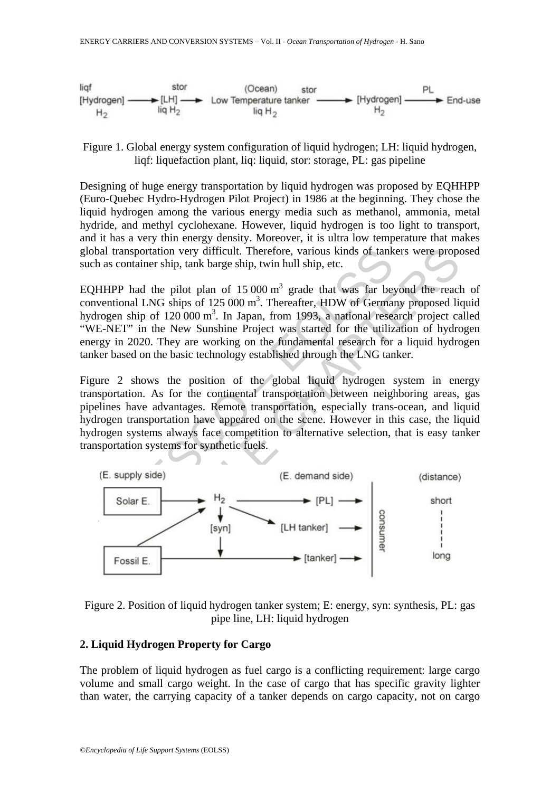

Figure 1. Global energy system configuration of liquid hydrogen; LH: liquid hydrogen, liqf: liquefaction plant, liq: liquid, stor: storage, PL: gas pipeline

Designing of huge energy transportation by liquid hydrogen was proposed by EQHHPP (Euro-Quebec Hydro-Hydrogen Pilot Project) in 1986 at the beginning. They chose the liquid hydrogen among the various energy media such as methanol, ammonia, metal hydride, and methyl cyclohexane. However, liquid hydrogen is too light to transport, and it has a very thin energy density. Moreover, it is ultra low temperature that makes global transportation very difficult. Therefore, various kinds of tankers were proposed such as container ship, tank barge ship, twin hull ship, etc.

EQHHPP had the pilot plan of  $15000 \text{ m}^3$  grade that was far beyond the reach of conventional LNG ships of  $125000 \text{ m}^3$ . Thereafter, HDW of Germany proposed liquid hydrogen ship of  $120\,000 \text{ m}^3$ . In Japan, from 1993, a national research project called "WE-NET" in the New Sunshine Project was started for the utilization of hydrogen energy in 2020. They are working on the fundamental research for a liquid hydrogen tanker based on the basic technology established through the LNG tanker.

Figure 2 shows the position of the global liquid hydrogen system in energy transportation. As for the continental transportation between neighboring areas, gas pipelines have advantages. Remote transportation, especially trans-ocean, and liquid hydrogen transportation have appeared on the scene. However in this case, the liquid hydrogen systems always face competition to alternative selection, that is easy tanker transportation systems for synthetic fuels.



Figure 2. Position of liquid hydrogen tanker system; E: energy, syn: synthesis, PL: gas pipe line, LH: liquid hydrogen

#### **2. Liquid Hydrogen Property for Cargo**

The problem of liquid hydrogen as fuel cargo is a conflicting requirement: large cargo volume and small cargo weight. In the case of cargo that has specific gravity lighter than water, the carrying capacity of a tanker depends on cargo capacity, not on cargo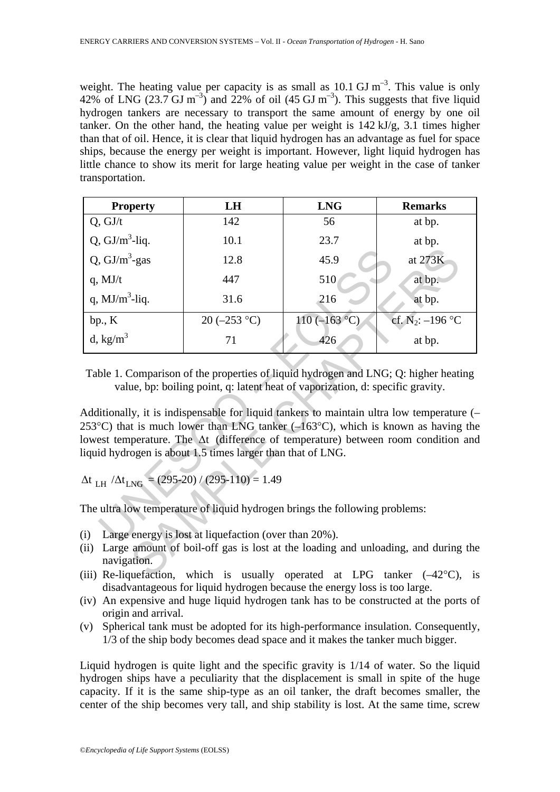weight. The heating value per capacity is as small as  $10.1 \text{ GJ m}^{-3}$ . This value is only 42% of LNG (23.7 GJ m<sup>-3</sup>) and 22% of oil (45 GJ m<sup>-3</sup>). This suggests that five liquid hydrogen tankers are necessary to transport the same amount of energy by one oil tanker. On the other hand, the heating value per weight is 142 kJ/g, 3.1 times higher than that of oil. Hence, it is clear that liquid hydrogen has an advantage as fuel for space ships, because the energy per weight is important. However, light liquid hydrogen has little chance to show its merit for large heating value per weight in the case of tanker transportation.

| <b>Property</b>                                                                                                                                                                                                                                                                                                                               | LH              | <b>LNG</b>      | <b>Remarks</b>                 |
|-----------------------------------------------------------------------------------------------------------------------------------------------------------------------------------------------------------------------------------------------------------------------------------------------------------------------------------------------|-----------------|-----------------|--------------------------------|
| Q, GJ/t                                                                                                                                                                                                                                                                                                                                       | 142             | 56              | at bp.                         |
| Q, $GI/m^3$ -liq.                                                                                                                                                                                                                                                                                                                             | 10.1            | 23.7            | at bp.                         |
| Q, $GI/m^3$ -gas                                                                                                                                                                                                                                                                                                                              | 12.8            | 45.9            | at 273K                        |
| $q$ , MJ/t                                                                                                                                                                                                                                                                                                                                    | 447             | 510             | at bp.                         |
| q, $MJ/m^3$ -liq.                                                                                                                                                                                                                                                                                                                             | 31.6            | 216             | at bp.                         |
| bp., K                                                                                                                                                                                                                                                                                                                                        | 20 ( $-253$ °C) | $110 (-163 °C)$ | cf. N <sub>2</sub> : $-196$ °C |
| d, $\text{kg/m}^3$                                                                                                                                                                                                                                                                                                                            | 71              | 426             | at bp.                         |
| Additionally, it is indispensable for liquid tankers to maintain ultra low temperature (-<br>253 °C) that is much lower than LNG tanker $(-163$ °C), which is known as having the<br>lowest temperature. The $\Delta t$ (difference of temperature) between room condition and<br>liquid hydrogen is about 1.5 times larger than that of LNG. |                 |                 |                                |
| $\Delta t$ LH $/\Delta t$ <sub>LNG</sub> = (295-20) / (295-110) = 1.49                                                                                                                                                                                                                                                                        |                 |                 |                                |
| The ultra low temperature of liquid hydrogen brings the following problems:                                                                                                                                                                                                                                                                   |                 |                 |                                |
| (i)<br>Large energy is lost at liquefaction (over than 20%).<br>Large amount of boil-off gas is lost at the loading and unloading, and during the<br>(ii)<br>navigation.<br>(iii) Re-lique faction, which is usually operated at LPG tanker $(-42^{\circ}C)$ , is                                                                             |                 |                 |                                |

- (i) Large energy is lost at liquefaction (over than 20%).
- (ii) Large amount of boil-off gas is lost at the loading and unloading, and during the navigation.
- (iii) Re-liquefaction, which is usually operated at LPG tanker  $(-42^{\circ}C)$ , is disadvantageous for liquid hydrogen because the energy loss is too large.
- (iv) An expensive and huge liquid hydrogen tank has to be constructed at the ports of origin and arrival.
- (v) Spherical tank must be adopted for its high-performance insulation. Consequently, 1/3 of the ship body becomes dead space and it makes the tanker much bigger.

Liquid hydrogen is quite light and the specific gravity is 1/14 of water. So the liquid hydrogen ships have a peculiarity that the displacement is small in spite of the huge capacity. If it is the same ship-type as an oil tanker, the draft becomes smaller, the center of the ship becomes very tall, and ship stability is lost. At the same time, screw